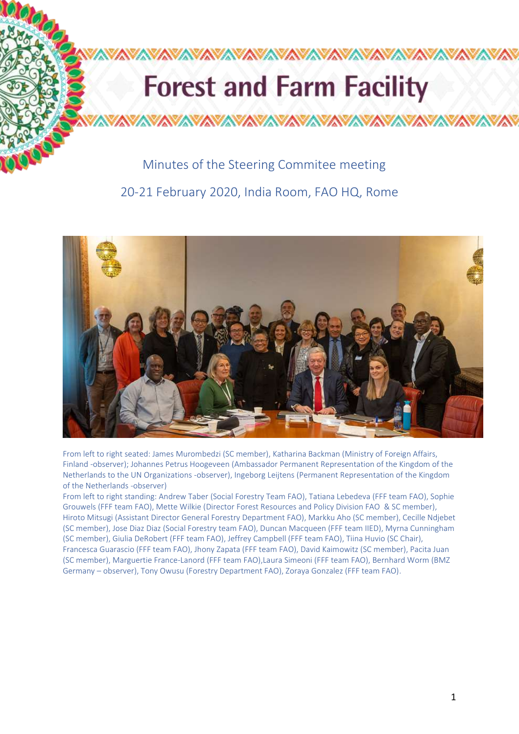# **Forest and Farm Facility**

## Minutes of the Steering Commitee meeting

**totoron** 

20-21 February 2020, India Room, FAO HQ, Rome



From left to right seated: James Murombedzi (SC member), Katharina Backman (Ministry of Foreign Affairs, Finland -observer); Johannes Petrus Hoogeveen (Ambassador Permanent Representation of the Kingdom of the Netherlands to the UN Organizations -observer), Ingeborg Leijtens (Permanent Representation of the Kingdom of the Netherlands -observer)

From left to right standing: Andrew Taber (Social Forestry Team FAO), Tatiana Lebedeva (FFF team FAO), Sophie Grouwels (FFF team FAO), Mette Wilkie (Director Forest Resources and Policy Division FAO & SC member), Hiroto Mitsugi (Assistant Director General Forestry Department FAO), Markku Aho (SC member), Cecille Ndjebet (SC member), Jose Diaz Diaz (Social Forestry team FAO), Duncan Macqueen (FFF team IIED), Myrna Cunningham (SC member), Giulia DeRobert (FFF team FAO), Jeffrey Campbell (FFF team FAO), Tiina Huvio (SC Chair), Francesca Guarascio (FFF team FAO), Jhony Zapata (FFF team FAO), David Kaimowitz (SC member), Pacita Juan (SC member), Marguertie France-Lanord (FFF team FAO),Laura Simeoni (FFF team FAO), Bernhard Worm (BMZ Germany – observer), Tony Owusu (Forestry Department FAO), Zoraya Gonzalez (FFF team FAO).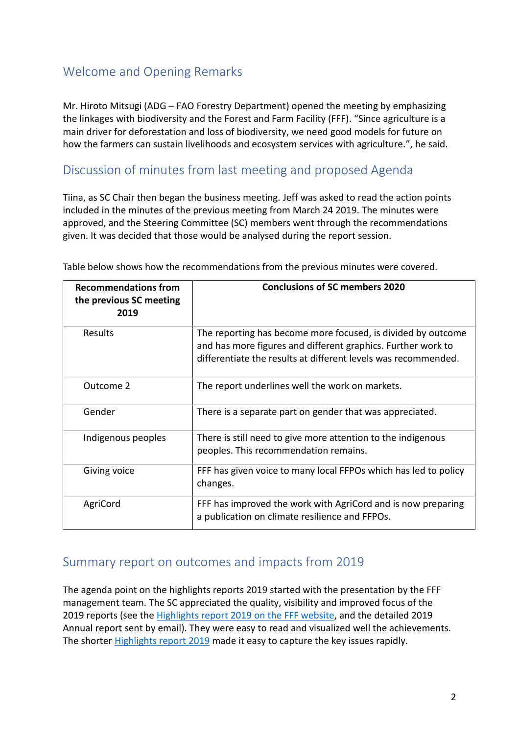## Welcome and Opening Remarks

Mr. Hiroto Mitsugi (ADG – FAO Forestry Department) opened the meeting by emphasizing the linkages with biodiversity and the Forest and Farm Facility (FFF). "Since agriculture is a main driver for deforestation and loss of biodiversity, we need good models for future on how the farmers can sustain livelihoods and ecosystem services with agriculture.", he said.

## Discussion of minutes from last meeting and proposed Agenda

Tiina, as SC Chair then began the business meeting. Jeff was asked to read the action points included in the minutes of the previous meeting from March 24 2019. The minutes were approved, and the Steering Committee (SC) members went through the recommendations given. It was decided that those would be analysed during the report session.

| <b>Recommendations from</b><br>the previous SC meeting<br>2019 | <b>Conclusions of SC members 2020</b>                                                                                                                                                          |
|----------------------------------------------------------------|------------------------------------------------------------------------------------------------------------------------------------------------------------------------------------------------|
| <b>Results</b>                                                 | The reporting has become more focused, is divided by outcome<br>and has more figures and different graphics. Further work to<br>differentiate the results at different levels was recommended. |
| Outcome 2                                                      | The report underlines well the work on markets.                                                                                                                                                |
| Gender                                                         | There is a separate part on gender that was appreciated.                                                                                                                                       |
| Indigenous peoples                                             | There is still need to give more attention to the indigenous<br>peoples. This recommendation remains.                                                                                          |
| Giving voice                                                   | FFF has given voice to many local FFPOs which has led to policy<br>changes.                                                                                                                    |
| AgriCord                                                       | FFF has improved the work with AgriCord and is now preparing<br>a publication on climate resilience and FFPOs.                                                                                 |

Table below shows how the recommendations from the previous minutes were covered.

## Summary report on outcomes and impacts from 2019

The agenda point on the highlights reports 2019 started with the presentation by the FFF management team. The SC appreciated the quality, visibility and improved focus of the 2019 reports (see the [Highlights report 2019](http://www.fao.org/forestry/49298-0cf77703ecd7441436cedd645c148a0d7.pdf) on the FFF website, and the detailed 2019 Annual report sent by email). They were easy to read and visualized well the achievements. The shorter [Highlights report](http://www.fao.org/forestry/49298-0cf77703ecd7441436cedd645c148a0d7.pdf) 2019 made it easy to capture the key issues rapidly.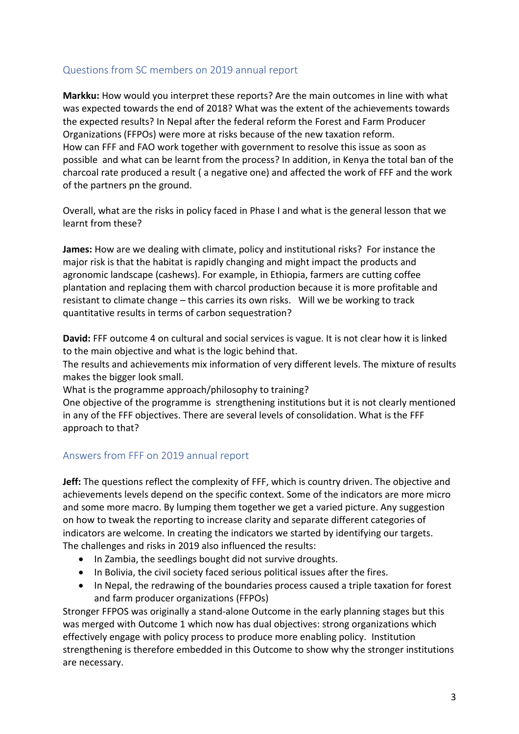## Questions from SC members on 2019 annual report

**Markku:** How would you interpret these reports? Are the main outcomes in line with what was expected towards the end of 2018? What was the extent of the achievements towards the expected results? In Nepal after the federal reform the Forest and Farm Producer Organizations (FFPOs) were more at risks because of the new taxation reform. How can FFF and FAO work together with government to resolve this issue as soon as possible and what can be learnt from the process? In addition, in Kenya the total ban of the charcoal rate produced a result ( a negative one) and affected the work of FFF and the work of the partners pn the ground.

Overall, what are the risks in policy faced in Phase I and what is the general lesson that we learnt from these?

**James:** How are we dealing with climate, policy and institutional risks? For instance the major risk is that the habitat is rapidly changing and might impact the products and agronomic landscape (cashews). For example, in Ethiopia, farmers are cutting coffee plantation and replacing them with charcol production because it is more profitable and resistant to climate change – this carries its own risks. Will we be working to track quantitative results in terms of carbon sequestration?

**David:** FFF outcome 4 on cultural and social services is vague. It is not clear how it is linked to the main objective and what is the logic behind that.

The results and achievements mix information of very different levels. The mixture of results makes the bigger look small.

What is the programme approach/philosophy to training?

One objective of the programme is strengthening institutions but it is not clearly mentioned in any of the FFF objectives. There are several levels of consolidation. What is the FFF approach to that?

## Answers from FFF on 2019 annual report

**Jeff:** The questions reflect the complexity of FFF, which is country driven. The objective and achievements levels depend on the specific context. Some of the indicators are more micro and some more macro. By lumping them together we get a varied picture. Any suggestion on how to tweak the reporting to increase clarity and separate different categories of indicators are welcome. In creating the indicators we started by identifying our targets. The challenges and risks in 2019 also influenced the results:

- In Zambia, the seedlings bought did not survive droughts.
- In Bolivia, the civil society faced serious political issues after the fires.
- In Nepal, the redrawing of the boundaries process caused a triple taxation for forest and farm producer organizations (FFPOs)

Stronger FFPOS was originally a stand-alone Outcome in the early planning stages but this was merged with Outcome 1 which now has dual objectives: strong organizations which effectively engage with policy process to produce more enabling policy. Institution strengthening is therefore embedded in this Outcome to show why the stronger institutions are necessary.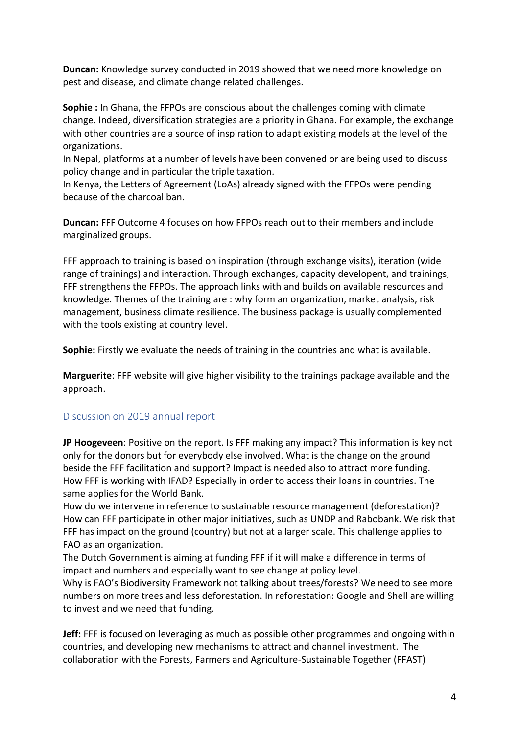**Duncan:** Knowledge survey conducted in 2019 showed that we need more knowledge on pest and disease, and climate change related challenges.

**Sophie :** In Ghana, the FFPOs are conscious about the challenges coming with climate change. Indeed, diversification strategies are a priority in Ghana. For example, the exchange with other countries are a source of inspiration to adapt existing models at the level of the organizations.

In Nepal, platforms at a number of levels have been convened or are being used to discuss policy change and in particular the triple taxation.

In Kenya, the Letters of Agreement (LoAs) already signed with the FFPOs were pending because of the charcoal ban.

**Duncan:** FFF Outcome 4 focuses on how FFPOs reach out to their members and include marginalized groups.

FFF approach to training is based on inspiration (through exchange visits), iteration (wide range of trainings) and interaction. Through exchanges, capacity developent, and trainings, FFF strengthens the FFPOs. The approach links with and builds on available resources and knowledge. Themes of the training are : why form an organization, market analysis, risk management, business climate resilience. The business package is usually complemented with the tools existing at country level.

**Sophie:** Firstly we evaluate the needs of training in the countries and what is available.

**Marguerite**: FFF website will give higher visibility to the trainings package available and the approach.

#### Discussion on 2019 annual report

**JP Hoogeveen**: Positive on the report. Is FFF making any impact? This information is key not only for the donors but for everybody else involved. What is the change on the ground beside the FFF facilitation and support? Impact is needed also to attract more funding. How FFF is working with IFAD? Especially in order to access their loans in countries. The same applies for the World Bank.

How do we intervene in reference to sustainable resource management (deforestation)? How can FFF participate in other major initiatives, such as UNDP and Rabobank. We risk that FFF has impact on the ground (country) but not at a larger scale. This challenge applies to FAO as an organization.

The Dutch Government is aiming at funding FFF if it will make a difference in terms of impact and numbers and especially want to see change at policy level.

Why is FAO's Biodiversity Framework not talking about trees/forests? We need to see more numbers on more trees and less deforestation. In reforestation: Google and Shell are willing to invest and we need that funding.

**Jeff:** FFF is focused on leveraging as much as possible other programmes and ongoing within countries, and developing new mechanisms to attract and channel investment. The collaboration with the Forests, Farmers and Agriculture-Sustainable Together (FFAST)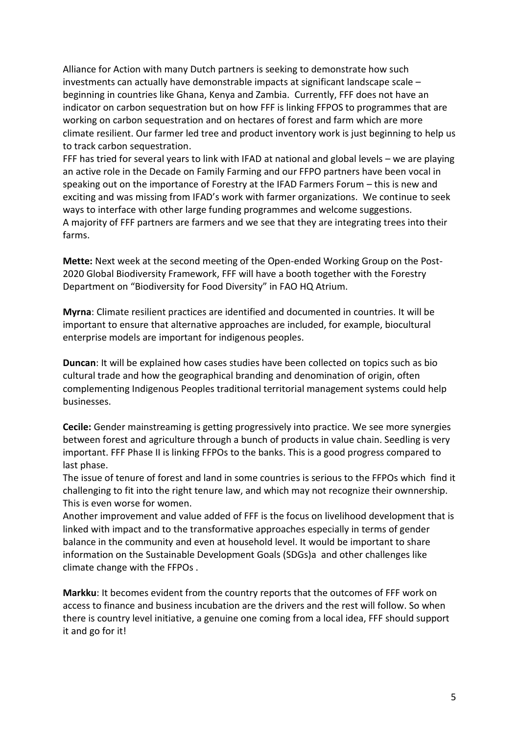Alliance for Action with many Dutch partners is seeking to demonstrate how such investments can actually have demonstrable impacts at significant landscape scale – beginning in countries like Ghana, Kenya and Zambia. Currently, FFF does not have an indicator on carbon sequestration but on how FFF is linking FFPOS to programmes that are working on carbon sequestration and on hectares of forest and farm which are more climate resilient. Our farmer led tree and product inventory work is just beginning to help us to track carbon sequestration.

FFF has tried for several years to link with IFAD at national and global levels – we are playing an active role in the Decade on Family Farming and our FFPO partners have been vocal in speaking out on the importance of Forestry at the IFAD Farmers Forum – this is new and exciting and was missing from IFAD's work with farmer organizations. We continue to seek ways to interface with other large funding programmes and welcome suggestions. A majority of FFF partners are farmers and we see that they are integrating trees into their farms.

**Mette:** Next week at the second meeting of the Open-ended Working Group on the Post-2020 Global Biodiversity Framework, FFF will have a booth together with the Forestry Department on "Biodiversity for Food Diversity" in FAO HQ Atrium.

**Myrna**: Climate resilient practices are identified and documented in countries. It will be important to ensure that alternative approaches are included, for example, biocultural enterprise models are important for indigenous peoples.

**Duncan**: It will be explained how cases studies have been collected on topics such as bio cultural trade and how the geographical branding and denomination of origin, often complementing Indigenous Peoples traditional territorial management systems could help businesses.

**Cecile:** Gender mainstreaming is getting progressively into practice. We see more synergies between forest and agriculture through a bunch of products in value chain. Seedling is very important. FFF Phase II is linking FFPOs to the banks. This is a good progress compared to last phase.

The issue of tenure of forest and land in some countries is serious to the FFPOs which find it challenging to fit into the right tenure law, and which may not recognize their ownnership. This is even worse for women.

Another improvement and value added of FFF is the focus on livelihood development that is linked with impact and to the transformative approaches especially in terms of gender balance in the community and even at household level. It would be important to share information on the Sustainable Development Goals (SDGs)a and other challenges like climate change with the FFPOs .

**Markku**: It becomes evident from the country reports that the outcomes of FFF work on access to finance and business incubation are the drivers and the rest will follow. So when there is country level initiative, a genuine one coming from a local idea, FFF should support it and go for it!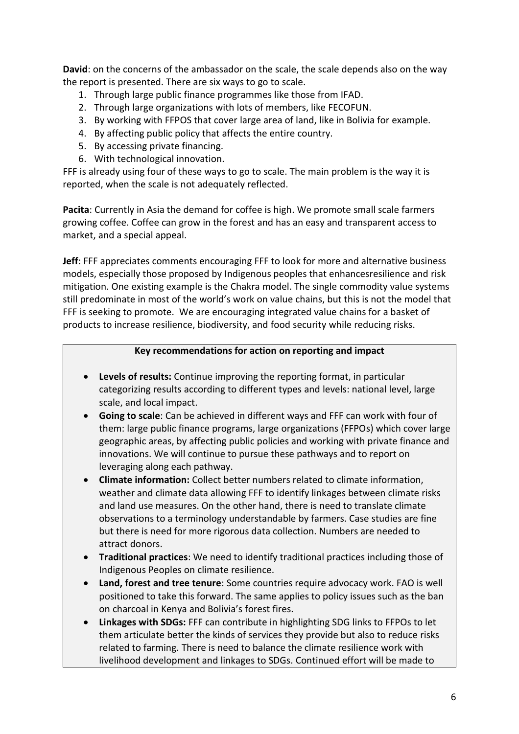**David**: on the concerns of the ambassador on the scale, the scale depends also on the way the report is presented. There are six ways to go to scale.

- 1. Through large public finance programmes like those from IFAD.
- 2. Through large organizations with lots of members, like FECOFUN.
- 3. By working with FFPOS that cover large area of land, like in Bolivia for example.
- 4. By affecting public policy that affects the entire country.
- 5. By accessing private financing.
- 6. With technological innovation.

FFF is already using four of these ways to go to scale. The main problem is the way it is reported, when the scale is not adequately reflected.

**Pacita**: Currently in Asia the demand for coffee is high. We promote small scale farmers growing coffee. Coffee can grow in the forest and has an easy and transparent access to market, and a special appeal.

**Jeff**: FFF appreciates comments encouraging FFF to look for more and alternative business models, especially those proposed by Indigenous peoples that enhancesresilience and risk mitigation. One existing example is the Chakra model. The single commodity value systems still predominate in most of the world's work on value chains, but this is not the model that FFF is seeking to promote. We are encouraging integrated value chains for a basket of products to increase resilience, biodiversity, and food security while reducing risks.

## **Key recommendations for action on reporting and impact**

- **Levels of results:** Continue improving the reporting format, in particular categorizing results according to different types and levels: national level, large scale, and local impact.
- **Going to scale**: Can be achieved in different ways and FFF can work with four of them: large public finance programs, large organizations (FFPOs) which cover large geographic areas, by affecting public policies and working with private finance and innovations. We will continue to pursue these pathways and to report on leveraging along each pathway.
- **Climate information:** Collect better numbers related to climate information, weather and climate data allowing FFF to identify linkages between climate risks and land use measures. On the other hand, there is need to translate climate observations to a terminology understandable by farmers. Case studies are fine but there is need for more rigorous data collection. Numbers are needed to attract donors.
- **Traditional practices**: We need to identify traditional practices including those of Indigenous Peoples on climate resilience.
- **Land, forest and tree tenure**: Some countries require advocacy work. FAO is well positioned to take this forward. The same applies to policy issues such as the ban on charcoal in Kenya and Bolivia's forest fires.
- **Linkages with SDGs:** FFF can contribute in highlighting SDG links to FFPOs to let them articulate better the kinds of services they provide but also to reduce risks related to farming. There is need to balance the climate resilience work with livelihood development and linkages to SDGs. Continued effort will be made to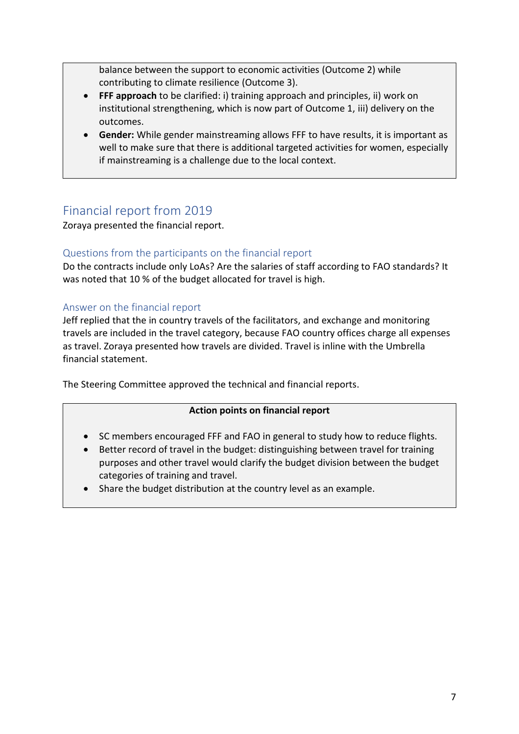balance between the support to economic activities (Outcome 2) while contributing to climate resilience (Outcome 3).

- **FFF approach** to be clarified: i) training approach and principles, ii) work on institutional strengthening, which is now part of Outcome 1, iii) delivery on the outcomes.
- **Gender:** While gender mainstreaming allows FFF to have results, it is important as well to make sure that there is additional targeted activities for women, especially if mainstreaming is a challenge due to the local context.

# Financial report from 2019

Zoraya presented the financial report.

## Questions from the participants on the financial report

Do the contracts include only LoAs? Are the salaries of staff according to FAO standards? It was noted that 10 % of the budget allocated for travel is high.

## Answer on the financial report

Jeff replied that the in country travels of the facilitators, and exchange and monitoring travels are included in the travel category, because FAO country offices charge all expenses as travel. Zoraya presented how travels are divided. Travel is inline with the Umbrella financial statement.

The Steering Committee approved the technical and financial reports.

## **Action points on financial report**

- SC members encouraged FFF and FAO in general to study how to reduce flights.
- Better record of travel in the budget: distinguishing between travel for training purposes and other travel would clarify the budget division between the budget categories of training and travel.
- Share the budget distribution at the country level as an example.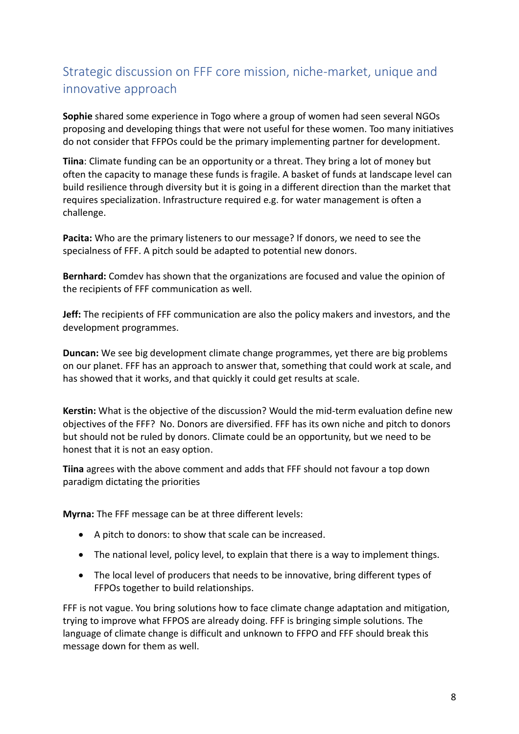# Strategic discussion on FFF core mission, niche-market, unique and innovative approach

**Sophie** shared some experience in Togo where a group of women had seen several NGOs proposing and developing things that were not useful for these women. Too many initiatives do not consider that FFPOs could be the primary implementing partner for development.

**Tiina**: Climate funding can be an opportunity or a threat. They bring a lot of money but often the capacity to manage these funds is fragile. A basket of funds at landscape level can build resilience through diversity but it is going in a different direction than the market that requires specialization. Infrastructure required e.g. for water management is often a challenge.

**Pacita:** Who are the primary listeners to our message? If donors, we need to see the specialness of FFF. A pitch sould be adapted to potential new donors.

**Bernhard:** Comdev has shown that the organizations are focused and value the opinion of the recipients of FFF communication as well.

**Jeff:** The recipients of FFF communication are also the policy makers and investors, and the development programmes.

**Duncan:** We see big development climate change programmes, yet there are big problems on our planet. FFF has an approach to answer that, something that could work at scale, and has showed that it works, and that quickly it could get results at scale.

**Kerstin:** What is the objective of the discussion? Would the mid-term evaluation define new objectives of the FFF? No. Donors are diversified. FFF has its own niche and pitch to donors but should not be ruled by donors. Climate could be an opportunity, but we need to be honest that it is not an easy option.

**Tiina** agrees with the above comment and adds that FFF should not favour a top down paradigm dictating the priorities

**Myrna:** The FFF message can be at three different levels:

- A pitch to donors: to show that scale can be increased.
- The national level, policy level, to explain that there is a way to implement things.
- The local level of producers that needs to be innovative, bring different types of FFPOs together to build relationships.

FFF is not vague. You bring solutions how to face climate change adaptation and mitigation, trying to improve what FFPOS are already doing. FFF is bringing simple solutions. The language of climate change is difficult and unknown to FFPO and FFF should break this message down for them as well.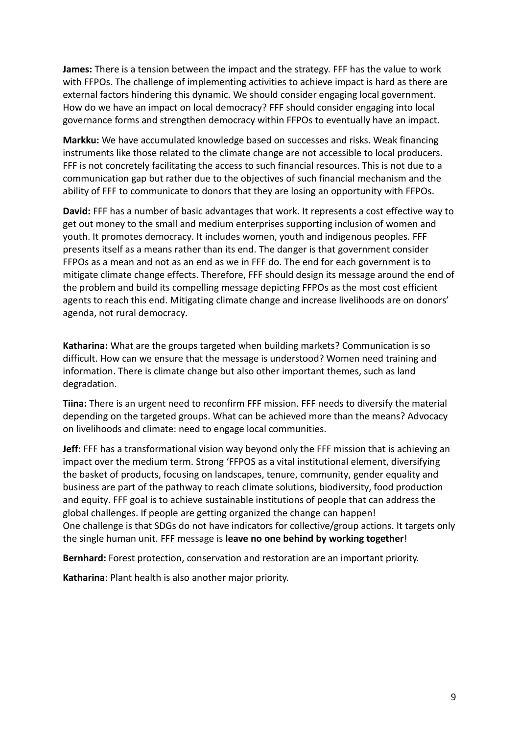**James:** There is a tension between the impact and the strategy. FFF has the value to work with FFPOs. The challenge of implementing activities to achieve impact is hard as there are external factors hindering this dynamic. We should consider engaging local government. How do we have an impact on local democracy? FFF should consider engaging into local governance forms and strengthen democracy within FFPOs to eventually have an impact.

**Markku:** We have accumulated knowledge based on successes and risks. Weak financing instruments like those related to the climate change are not accessible to local producers. FFF is not concretely facilitating the access to such financial resources. This is not due to a communication gap but rather due to the objectives of such financial mechanism and the ability of FFF to communicate to donors that they are losing an opportunity with FFPOs.

**David:** FFF has a number of basic advantages that work. It represents a cost effective way to get out money to the small and medium enterprises supporting inclusion of women and youth. It promotes democracy. It includes women, youth and indigenous peoples. FFF presents itself as a means rather than its end. The danger is that government consider FFPOs as a mean and not as an end as we in FFF do. The end for each government is to mitigate climate change effects. Therefore, FFF should design its message around the end of the problem and build its compelling message depicting FFPOs as the most cost efficient agents to reach this end. Mitigating climate change and increase livelihoods are on donors' agenda, not rural democracy.

**Katharina:** What are the groups targeted when building markets? Communication is so difficult. How can we ensure that the message is understood? Women need training and information. There is climate change but also other important themes, such as land degradation.

**Tiina:** There is an urgent need to reconfirm FFF mission. FFF needs to diversify the material depending on the targeted groups. What can be achieved more than the means? Advocacy on livelihoods and climate: need to engage local communities.

**Jeff**: FFF has a transformational vision way beyond only the FFF mission that is achieving an impact over the medium term. Strong 'FFPOS as a vital institutional element, diversifying the basket of products, focusing on landscapes, tenure, community, gender equality and business are part of the pathway to reach climate solutions, biodiversity, food production and equity. FFF goal is to achieve sustainable institutions of people that can address the global challenges. If people are getting organized the change can happen! One challenge is that SDGs do not have indicators for collective/group actions. It targets only the single human unit. FFF message is **leave no one behind by working together**!

**Bernhard:** Forest protection, conservation and restoration are an important priority.

**Katharina**: Plant health is also another major priority.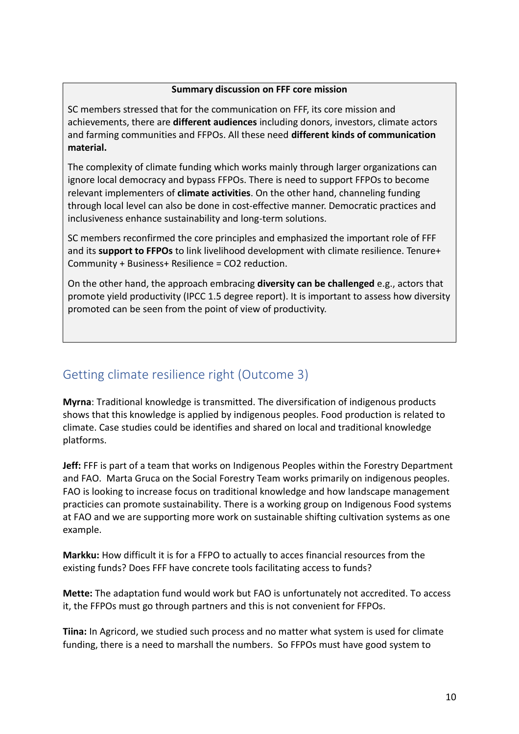#### **Summary discussion on FFF core mission**

SC members stressed that for the communication on FFF, its core mission and achievements, there are **different audiences** including donors, investors, climate actors and farming communities and FFPOs. All these need **different kinds of communication material.** 

The complexity of climate funding which works mainly through larger organizations can ignore local democracy and bypass FFPOs. There is need to support FFPOs to become relevant implementers of **climate activities**. On the other hand, channeling funding through local level can also be done in cost-effective manner. Democratic practices and inclusiveness enhance sustainability and long-term solutions.

SC members reconfirmed the core principles and emphasized the important role of FFF and its **support to FFPOs** to link livelihood development with climate resilience. Tenure+ Community + Business+ Resilience = CO2 reduction.

On the other hand, the approach embracing **diversity can be challenged** e.g., actors that promote yield productivity (IPCC 1.5 degree report). It is important to assess how diversity promoted can be seen from the point of view of productivity.

# Getting climate resilience right (Outcome 3)

**Myrna**: Traditional knowledge is transmitted. The diversification of indigenous products shows that this knowledge is applied by indigenous peoples. Food production is related to climate. Case studies could be identifies and shared on local and traditional knowledge platforms.

**Jeff:** FFF is part of a team that works on Indigenous Peoples within the Forestry Department and FAO. Marta Gruca on the Social Forestry Team works primarily on indigenous peoples. FAO is looking to increase focus on traditional knowledge and how landscape management practicies can promote sustainability. There is a working group on Indigenous Food systems at FAO and we are supporting more work on sustainable shifting cultivation systems as one example.

**Markku:** How difficult it is for a FFPO to actually to acces financial resources from the existing funds? Does FFF have concrete tools facilitating access to funds?

**Mette:** The adaptation fund would work but FAO is unfortunately not accredited. To access it, the FFPOs must go through partners and this is not convenient for FFPOs.

**Tiina:** In Agricord, we studied such process and no matter what system is used for climate funding, there is a need to marshall the numbers. So FFPOs must have good system to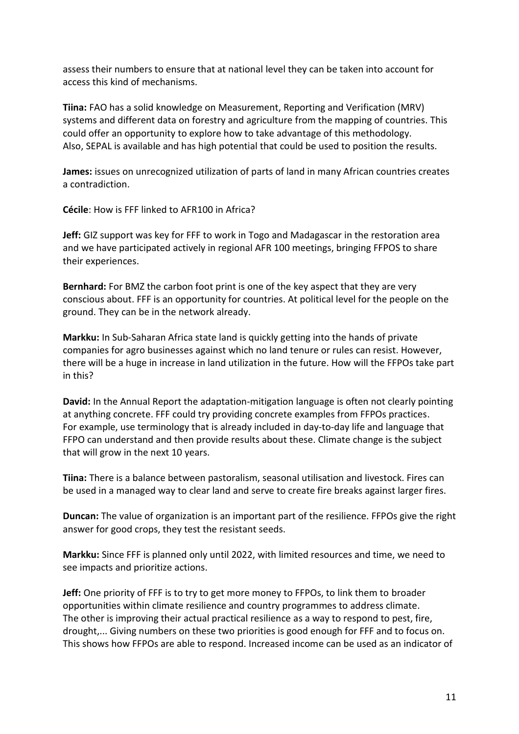assess their numbers to ensure that at national level they can be taken into account for access this kind of mechanisms.

**Tiina:** FAO has a solid knowledge on Measurement, Reporting and Verification (MRV) systems and different data on forestry and agriculture from the mapping of countries. This could offer an opportunity to explore how to take advantage of this methodology. Also, SEPAL is available and has high potential that could be used to position the results.

**James:** issues on unrecognized utilization of parts of land in many African countries creates a contradiction.

**Cécile**: How is FFF linked to AFR100 in Africa?

**Jeff:** GIZ support was key for FFF to work in Togo and Madagascar in the restoration area and we have participated actively in regional AFR 100 meetings, bringing FFPOS to share their experiences.

**Bernhard:** For BMZ the carbon foot print is one of the key aspect that they are very conscious about. FFF is an opportunity for countries. At political level for the people on the ground. They can be in the network already.

**Markku:** In Sub-Saharan Africa state land is quickly getting into the hands of private companies for agro businesses against which no land tenure or rules can resist. However, there will be a huge in increase in land utilization in the future. How will the FFPOs take part in this?

**David:** In the Annual Report the adaptation-mitigation language is often not clearly pointing at anything concrete. FFF could try providing concrete examples from FFPOs practices. For example, use terminology that is already included in day-to-day life and language that FFPO can understand and then provide results about these. Climate change is the subject that will grow in the next 10 years.

**Tiina:** There is a balance between pastoralism, seasonal utilisation and livestock. Fires can be used in a managed way to clear land and serve to create fire breaks against larger fires.

**Duncan:** The value of organization is an important part of the resilience. FFPOs give the right answer for good crops, they test the resistant seeds.

**Markku:** Since FFF is planned only until 2022, with limited resources and time, we need to see impacts and prioritize actions.

**Jeff:** One priority of FFF is to try to get more money to FFPOs, to link them to broader opportunities within climate resilience and country programmes to address climate. The other is improving their actual practical resilience as a way to respond to pest, fire, drought,... Giving numbers on these two priorities is good enough for FFF and to focus on. This shows how FFPOs are able to respond. Increased income can be used as an indicator of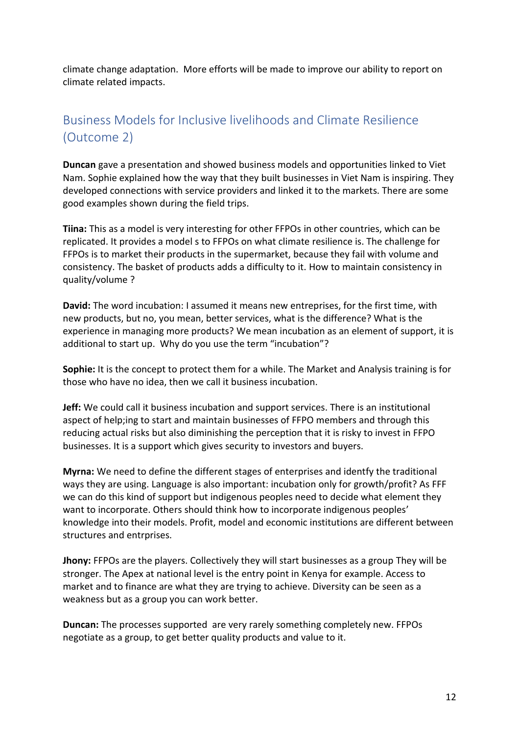climate change adaptation. More efforts will be made to improve our ability to report on climate related impacts.

# Business Models for Inclusive livelihoods and Climate Resilience (Outcome 2)

**Duncan** gave a presentation and showed business models and opportunities linked to Viet Nam. Sophie explained how the way that they built businesses in Viet Nam is inspiring. They developed connections with service providers and linked it to the markets. There are some good examples shown during the field trips.

**Tiina:** This as a model is very interesting for other FFPOs in other countries, which can be replicated. It provides a model s to FFPOs on what climate resilience is. The challenge for FFPOs is to market their products in the supermarket, because they fail with volume and consistency. The basket of products adds a difficulty to it. How to maintain consistency in quality/volume ?

**David:** The word incubation: I assumed it means new entreprises, for the first time, with new products, but no, you mean, better services, what is the difference? What is the experience in managing more products? We mean incubation as an element of support, it is additional to start up. Why do you use the term "incubation"?

**Sophie:** It is the concept to protect them for a while. The Market and Analysis training is for those who have no idea, then we call it business incubation.

**Jeff:** We could call it business incubation and support services. There is an institutional aspect of help;ing to start and maintain businesses of FFPO members and through this reducing actual risks but also diminishing the perception that it is risky to invest in FFPO businesses. It is a support which gives security to investors and buyers.

**Myrna:** We need to define the different stages of enterprises and identfy the traditional ways they are using. Language is also important: incubation only for growth/profit? As FFF we can do this kind of support but indigenous peoples need to decide what element they want to incorporate. Others should think how to incorporate indigenous peoples' knowledge into their models. Profit, model and economic institutions are different between structures and entrprises.

**Jhony:** FFPOs are the players. Collectively they will start businesses as a group They will be stronger. The Apex at national level is the entry point in Kenya for example. Access to market and to finance are what they are trying to achieve. Diversity can be seen as a weakness but as a group you can work better.

**Duncan:** The processes supported are very rarely something completely new. FFPOs negotiate as a group, to get better quality products and value to it.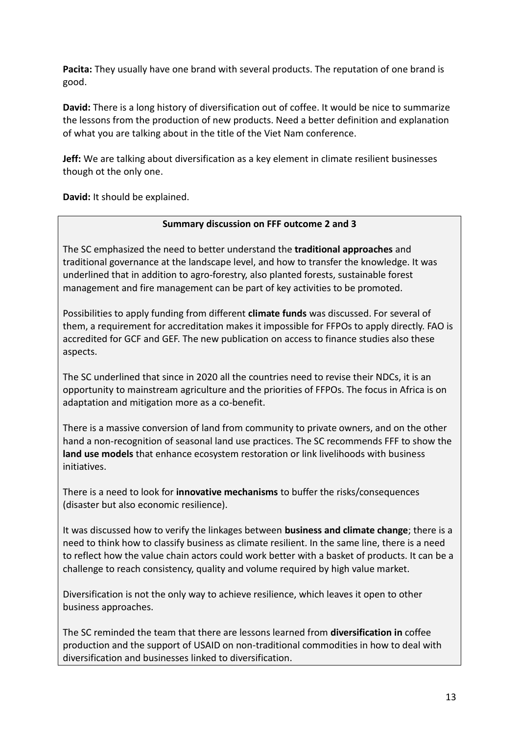**Pacita:** They usually have one brand with several products. The reputation of one brand is good.

**David:** There is a long history of diversification out of coffee. It would be nice to summarize the lessons from the production of new products. Need a better definition and explanation of what you are talking about in the title of the Viet Nam conference.

**Jeff:** We are talking about diversification as a key element in climate resilient businesses though ot the only one.

**David:** It should be explained.

#### **Summary discussion on FFF outcome 2 and 3**

The SC emphasized the need to better understand the **traditional approaches** and traditional governance at the landscape level, and how to transfer the knowledge. It was underlined that in addition to agro-forestry, also planted forests, sustainable forest management and fire management can be part of key activities to be promoted.

Possibilities to apply funding from different **climate funds** was discussed. For several of them, a requirement for accreditation makes it impossible for FFPOs to apply directly. FAO is accredited for GCF and GEF. The new publication on access to finance studies also these aspects.

The SC underlined that since in 2020 all the countries need to revise their NDCs, it is an opportunity to mainstream agriculture and the priorities of FFPOs. The focus in Africa is on adaptation and mitigation more as a co-benefit.

There is a massive conversion of land from community to private owners, and on the other hand a non-recognition of seasonal land use practices. The SC recommends FFF to show the **land use models** that enhance ecosystem restoration or link livelihoods with business initiatives.

There is a need to look for **innovative mechanisms** to buffer the risks/consequences (disaster but also economic resilience).

It was discussed how to verify the linkages between **business and climate change**; there is a need to think how to classify business as climate resilient. In the same line, there is a need to reflect how the value chain actors could work better with a basket of products. It can be a challenge to reach consistency, quality and volume required by high value market.

Diversification is not the only way to achieve resilience, which leaves it open to other business approaches.

The SC reminded the team that there are lessons learned from **diversification in** coffee production and the support of USAID on non-traditional commodities in how to deal with diversification and businesses linked to diversification.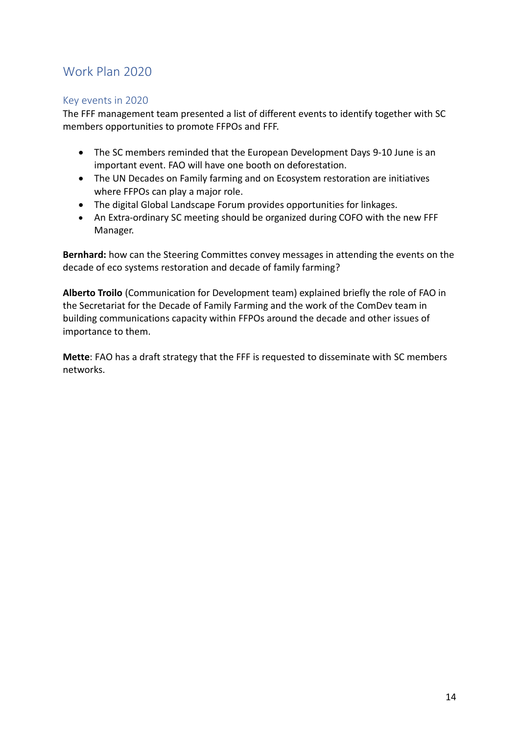## Work Plan 2020

#### Key events in 2020

The FFF management team presented a list of different events to identify together with SC members opportunities to promote FFPOs and FFF.

- The SC members reminded that the European Development Days 9-10 June is an important event. FAO will have one booth on deforestation.
- The UN Decades on Family farming and on Ecosystem restoration are initiatives where FFPOs can play a major role.
- The digital Global Landscape Forum provides opportunities for linkages.
- An Extra-ordinary SC meeting should be organized during COFO with the new FFF Manager.

**Bernhard:** how can the Steering Committes convey messages in attending the events on the decade of eco systems restoration and decade of family farming?

**Alberto Troilo** (Communication for Development team) explained briefly the role of FAO in the Secretariat for the Decade of Family Farming and the work of the ComDev team in building communications capacity within FFPOs around the decade and other issues of importance to them.

**Mette**: FAO has a draft strategy that the FFF is requested to disseminate with SC members networks.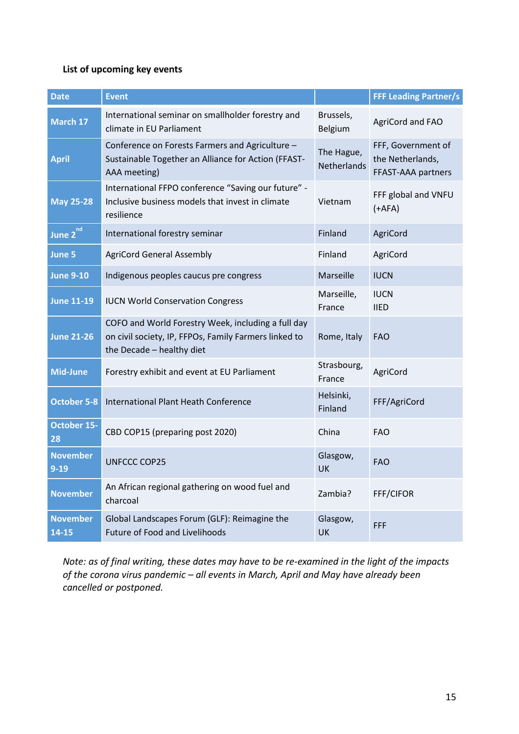#### **List of upcoming key events**

| <b>Date</b>                 | <b>Event</b>                                                                                                                             |                                  | <b>FFF Leading Partner/s</b>                                 |
|-----------------------------|------------------------------------------------------------------------------------------------------------------------------------------|----------------------------------|--------------------------------------------------------------|
| March 17                    | International seminar on smallholder forestry and<br>climate in EU Parliament                                                            | Brussels,<br>Belgium             | AgriCord and FAO                                             |
| <b>April</b>                | Conference on Forests Farmers and Agriculture -<br>Sustainable Together an Alliance for Action (FFAST-<br>AAA meeting)                   | The Hague,<br><b>Netherlands</b> | FFF, Government of<br>the Netherlands,<br>FFAST-AAA partners |
| <b>May 25-28</b>            | International FFPO conference "Saving our future" -<br>Inclusive business models that invest in climate<br>resilience                    | Vietnam                          | FFF global and VNFU<br>$(+AFA)$                              |
| June 2 <sup>nd</sup>        | International forestry seminar                                                                                                           | Finland                          | AgriCord                                                     |
| June 5                      | <b>AgriCord General Assembly</b>                                                                                                         | Finland                          | AgriCord                                                     |
| <b>June 9-10</b>            | Indigenous peoples caucus pre congress                                                                                                   | Marseille                        | <b>IUCN</b>                                                  |
| <b>June 11-19</b>           | <b>IUCN World Conservation Congress</b>                                                                                                  | Marseille,<br>France             | <b>IUCN</b><br><b>IIED</b>                                   |
| <b>June 21-26</b>           | COFO and World Forestry Week, including a full day<br>on civil society, IP, FFPOs, Family Farmers linked to<br>the Decade - healthy diet | Rome, Italy                      | <b>FAO</b>                                                   |
| <b>Mid-June</b>             | Forestry exhibit and event at EU Parliament                                                                                              | Strasbourg,<br>France            | AgriCord                                                     |
| <b>October 5-8</b>          | <b>International Plant Heath Conference</b>                                                                                              | Helsinki,<br>Finland             | FFF/AgriCord                                                 |
| <b>October 15-</b><br>28    | CBD COP15 (preparing post 2020)                                                                                                          | China                            | <b>FAO</b>                                                   |
| <b>November</b><br>$9 - 19$ | <b>UNFCCC COP25</b>                                                                                                                      | Glasgow,<br>UK                   | <b>FAO</b>                                                   |
| <b>November</b>             | An African regional gathering on wood fuel and<br>charcoal                                                                               | Zambia?                          | FFF/CIFOR                                                    |
| <b>November</b><br>14-15    | Global Landscapes Forum (GLF): Reimagine the<br><b>Future of Food and Livelihoods</b>                                                    | Glasgow,<br>UK                   | <b>FFF</b>                                                   |

*Note: as of final writing, these dates may have to be re-examined in the light of the impacts of the corona virus pandemic – all events in March, April and May have already been cancelled or postponed.*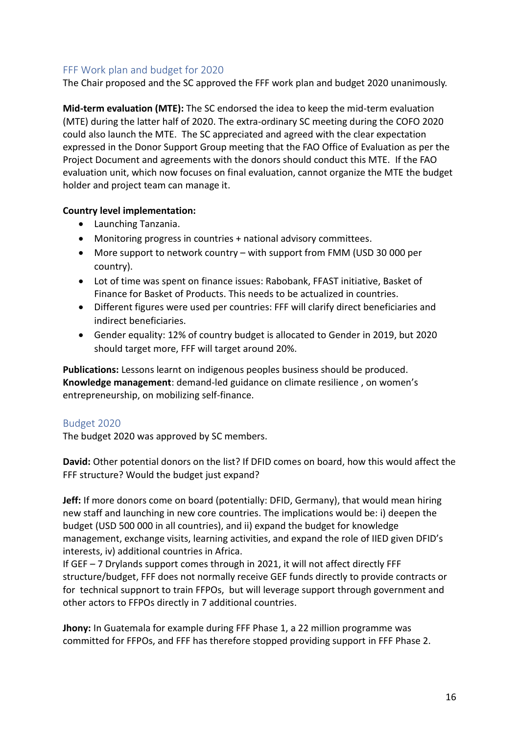#### FFF Work plan and budget for 2020

The Chair proposed and the SC approved the FFF work plan and budget 2020 unanimously.

**Mid-term evaluation (MTE):** The SC endorsed the idea to keep the mid-term evaluation (MTE) during the latter half of 2020. The extra-ordinary SC meeting during the COFO 2020 could also launch the MTE. The SC appreciated and agreed with the clear expectation expressed in the Donor Support Group meeting that the FAO Office of Evaluation as per the Project Document and agreements with the donors should conduct this MTE. If the FAO evaluation unit, which now focuses on final evaluation, cannot organize the MTE the budget holder and project team can manage it.

#### **Country level implementation:**

- Launching Tanzania.
- Monitoring progress in countries + national advisory committees.
- More support to network country with support from FMM (USD 30 000 per country).
- Lot of time was spent on finance issues: Rabobank, FFAST initiative, Basket of Finance for Basket of Products. This needs to be actualized in countries.
- Different figures were used per countries: FFF will clarify direct beneficiaries and indirect beneficiaries.
- Gender equality: 12% of country budget is allocated to Gender in 2019, but 2020 should target more, FFF will target around 20%.

**Publications:** Lessons learnt on indigenous peoples business should be produced. **Knowledge management**: demand-led guidance on climate resilience , on women's entrepreneurship, on mobilizing self-finance.

#### Budget 2020

The budget 2020 was approved by SC members.

**David:** Other potential donors on the list? If DFID comes on board, how this would affect the FFF structure? Would the budget just expand?

**Jeff:** If more donors come on board (potentially: DFID, Germany), that would mean hiring new staff and launching in new core countries. The implications would be: i) deepen the budget (USD 500 000 in all countries), and ii) expand the budget for knowledge management, exchange visits, learning activities, and expand the role of IIED given DFID's interests, iv) additional countries in Africa.

If GEF – 7 Drylands support comes through in 2021, it will not affect directly FFF structure/budget, FFF does not normally receive GEF funds directly to provide contracts or for technical suppnort to train FFPOs, but will leverage support through government and other actors to FFPOs directly in 7 additional countries.

**Jhony:** In Guatemala for example during FFF Phase 1, a 22 million programme was committed for FFPOs, and FFF has therefore stopped providing support in FFF Phase 2.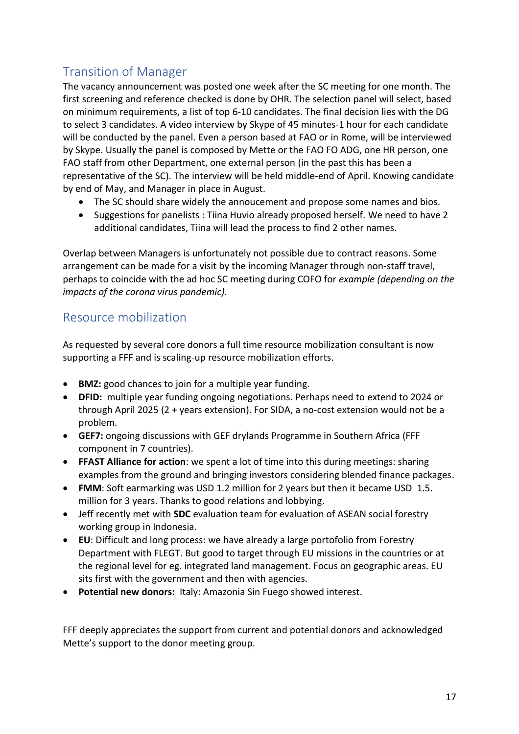# Transition of Manager

The vacancy announcement was posted one week after the SC meeting for one month. The first screening and reference checked is done by OHR. The selection panel will select, based on minimum requirements, a list of top 6-10 candidates. The final decision lies with the DG to select 3 candidates. A video interview by Skype of 45 minutes-1 hour for each candidate will be conducted by the panel. Even a person based at FAO or in Rome, will be interviewed by Skype. Usually the panel is composed by Mette or the FAO FO ADG, one HR person, one FAO staff from other Department, one external person (in the past this has been a representative of the SC). The interview will be held middle-end of April. Knowing candidate by end of May, and Manager in place in August.

- The SC should share widely the annoucement and propose some names and bios.
- Suggestions for panelists : Tiina Huvio already proposed herself. We need to have 2 additional candidates, Tiina will lead the process to find 2 other names.

Overlap between Managers is unfortunately not possible due to contract reasons. Some arrangement can be made for a visit by the incoming Manager through non-staff travel, perhaps to coincide with the ad hoc SC meeting during COFO for *example (depending on the impacts of the corona virus pandemic).*

## Resource mobilization

As requested by several core donors a full time resource mobilization consultant is now supporting a FFF and is scaling-up resource mobilization efforts.

- **BMZ:** good chances to join for a multiple year funding.
- **DFID:** multiple year funding ongoing negotiations. Perhaps need to extend to 2024 or through April 2025 (2 + years extension). For SIDA, a no-cost extension would not be a problem.
- **GEF7:** ongoing discussions with GEF drylands Programme in Southern Africa (FFF component in 7 countries).
- **FFAST Alliance for action**: we spent a lot of time into this during meetings: sharing examples from the ground and bringing investors considering blended finance packages.
- **FMM**: Soft earmarking was USD 1.2 million for 2 years but then it became USD 1.5. million for 3 years. Thanks to good relations and lobbying.
- Jeff recently met with **SDC** evaluation team for evaluation of ASEAN social forestry working group in Indonesia.
- **EU**: Difficult and long process: we have already a large portofolio from Forestry Department with FLEGT. But good to target through EU missions in the countries or at the regional level for eg. integrated land management. Focus on geographic areas. EU sits first with the government and then with agencies.
- **Potential new donors:** Italy: Amazonia Sin Fuego showed interest.

FFF deeply appreciates the support from current and potential donors and acknowledged Mette's support to the donor meeting group.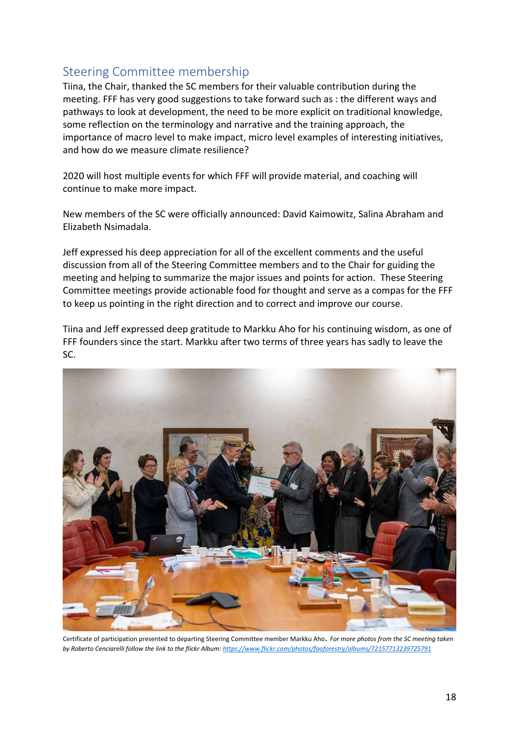## Steering Committee membership

Tiina, the Chair, thanked the SC members for their valuable contribution during the meeting. FFF has very good suggestions to take forward such as : the different ways and pathways to look at development, the need to be more explicit on traditional knowledge, some reflection on the terminology and narrative and the training approach, the importance of macro level to make impact, micro level examples of interesting initiatives, and how do we measure climate resilience?

2020 will host multiple events for which FFF will provide material, and coaching will continue to make more impact.

New members of the SC were officially announced: David Kaimowitz, Salina Abraham and Elizabeth Nsimadala.

Jeff expressed his deep appreciation for all of the excellent comments and the useful discussion from all of the Steering Committee members and to the Chair for guiding the meeting and helping to summarize the major issues and points for action. These Steering Committee meetings provide actionable food for thought and serve as a compas for the FFF to keep us pointing in the right direction and to correct and improve our course.

Tiina and Jeff expressed deep gratitude to Markku Aho for his continuing wisdom, as one of FFF founders since the start. Markku after two terms of three years has sadly to leave the SC.



Certificate of participation presented to departing Steering Committee member Markku Aho. *For more photos from the SC meeting taken by Roberto Cenciarelli follow the link to the flickr Album[: https://www.flickr.com/photos/faoforestry/albums/72157713239725791](https://www.flickr.com/photos/faoforestry/albums/72157713239725791)*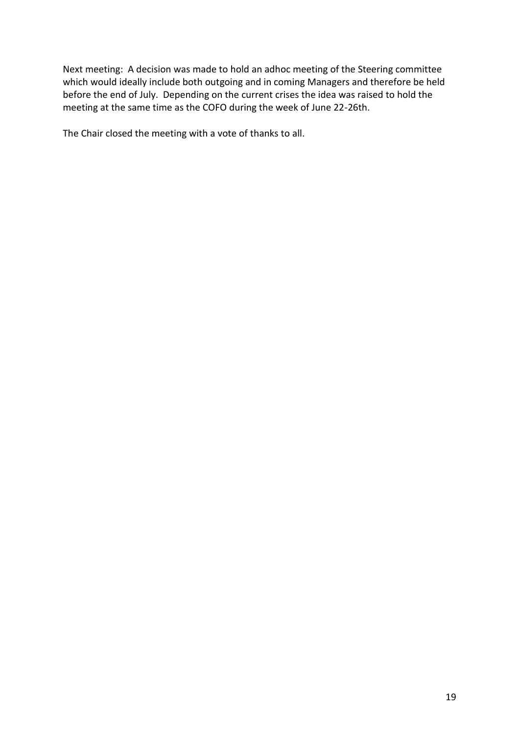Next meeting: A decision was made to hold an adhoc meeting of the Steering committee which would ideally include both outgoing and in coming Managers and therefore be held before the end of July. Depending on the current crises the idea was raised to hold the meeting at the same time as the COFO during the week of June 22-26th.

The Chair closed the meeting with a vote of thanks to all.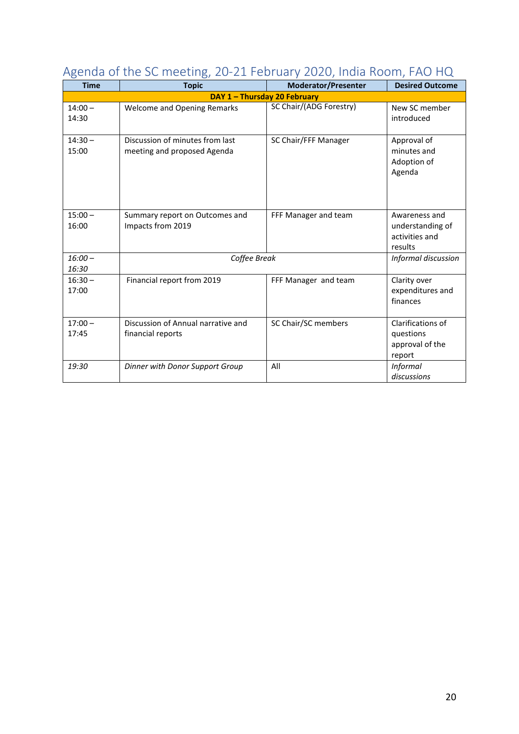| <b>Time</b>                  | ----------                         |                                | <b>Desired Outcome</b>       |  |  |  |
|------------------------------|------------------------------------|--------------------------------|------------------------------|--|--|--|
|                              | <b>Topic</b>                       | <b>Moderator/Presenter</b>     |                              |  |  |  |
| DAY 1 - Thursday 20 February |                                    |                                |                              |  |  |  |
| $14:00 -$<br>14:30           | <b>Welcome and Opening Remarks</b> | <b>SC Chair/(ADG Forestry)</b> | New SC member<br>introduced  |  |  |  |
|                              |                                    |                                |                              |  |  |  |
| $14:30 -$                    | Discussion of minutes from last    | SC Chair/FFF Manager           | Approval of                  |  |  |  |
| 15:00                        | meeting and proposed Agenda        |                                | minutes and<br>Adoption of   |  |  |  |
|                              |                                    |                                | Agenda                       |  |  |  |
|                              |                                    |                                |                              |  |  |  |
| $15:00 -$                    | Summary report on Outcomes and     | FFF Manager and team           | Awareness and                |  |  |  |
| 16:00                        | Impacts from 2019                  |                                | understanding of             |  |  |  |
|                              |                                    |                                | activities and<br>results    |  |  |  |
| $16:00 -$                    | Coffee Break                       |                                | Informal discussion          |  |  |  |
| 16:30                        |                                    |                                |                              |  |  |  |
| $16:30 -$                    | Financial report from 2019         | FFF Manager and team           | Clarity over                 |  |  |  |
| 17:00                        |                                    |                                | expenditures and<br>finances |  |  |  |
|                              |                                    |                                |                              |  |  |  |
| $17:00 -$                    | Discussion of Annual narrative and | SC Chair/SC members            | Clarifications of            |  |  |  |
| 17:45                        | financial reports                  |                                | questions                    |  |  |  |
|                              |                                    |                                | approval of the<br>report    |  |  |  |
| 19:30                        | Dinner with Donor Support Group    | All                            | <b>Informal</b>              |  |  |  |
|                              |                                    |                                | discussions                  |  |  |  |

# Agenda of the SC meeting, 20-21 February 2020, India Room, FAO HQ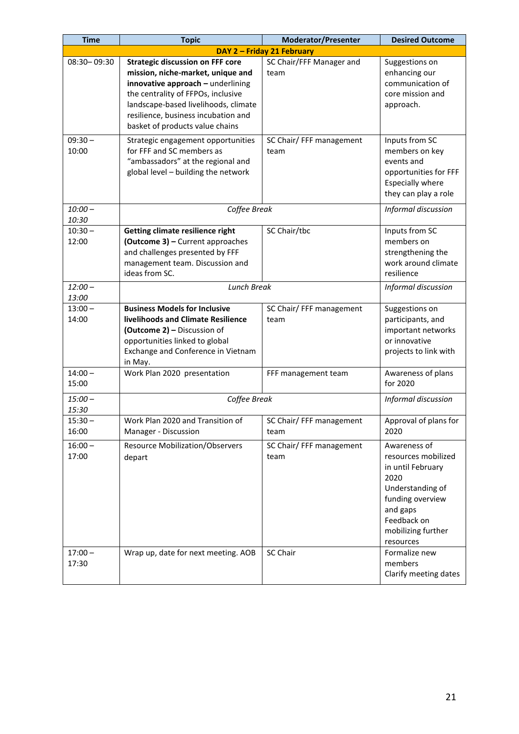| <b>Time</b>        | <b>Topic</b>                                                                                                                                                                                                                                                              | <b>Moderator/Presenter</b>       | <b>Desired Outcome</b>                                                                                                                                                 |  |  |  |
|--------------------|---------------------------------------------------------------------------------------------------------------------------------------------------------------------------------------------------------------------------------------------------------------------------|----------------------------------|------------------------------------------------------------------------------------------------------------------------------------------------------------------------|--|--|--|
|                    | DAY 2 - Friday 21 February                                                                                                                                                                                                                                                |                                  |                                                                                                                                                                        |  |  |  |
| 08:30-09:30        | <b>Strategic discussion on FFF core</b><br>mission, niche-market, unique and<br>innovative approach - underlining<br>the centrality of FFPOs, inclusive<br>landscape-based livelihoods, climate<br>resilience, business incubation and<br>basket of products value chains | SC Chair/FFF Manager and<br>team | Suggestions on<br>enhancing our<br>communication of<br>core mission and<br>approach.                                                                                   |  |  |  |
| $09:30 -$<br>10:00 | Strategic engagement opportunities<br>for FFF and SC members as<br>"ambassadors" at the regional and<br>global level - building the network                                                                                                                               | SC Chair/ FFF management<br>team | Inputs from SC<br>members on key<br>events and<br>opportunities for FFF<br><b>Especially where</b><br>they can play a role                                             |  |  |  |
| $10:00 -$<br>10:30 | Coffee Break                                                                                                                                                                                                                                                              |                                  | Informal discussion                                                                                                                                                    |  |  |  |
| $10:30 -$<br>12:00 | Getting climate resilience right<br>(Outcome 3) - Current approaches<br>and challenges presented by FFF<br>management team. Discussion and<br>ideas from SC.                                                                                                              | SC Chair/tbc                     | Inputs from SC<br>members on<br>strengthening the<br>work around climate<br>resilience                                                                                 |  |  |  |
| $12:00 -$<br>13:00 | <b>Lunch Break</b>                                                                                                                                                                                                                                                        |                                  | Informal discussion                                                                                                                                                    |  |  |  |
| $13:00 -$<br>14:00 | <b>Business Models for Inclusive</b><br>livelihoods and Climate Resilience<br>(Outcome 2) - Discussion of<br>opportunities linked to global<br>Exchange and Conference in Vietnam<br>in May.                                                                              | SC Chair/ FFF management<br>team | Suggestions on<br>participants, and<br>important networks<br>or innovative<br>projects to link with                                                                    |  |  |  |
| $14:00 -$<br>15:00 | Work Plan 2020 presentation                                                                                                                                                                                                                                               | FFF management team              | Awareness of plans<br>for 2020                                                                                                                                         |  |  |  |
| $15:00 -$<br>15:30 | Coffee Break                                                                                                                                                                                                                                                              |                                  | Informal discussion                                                                                                                                                    |  |  |  |
| $15:30 -$<br>16:00 | Work Plan 2020 and Transition of<br>Manager - Discussion                                                                                                                                                                                                                  | SC Chair/ FFF management<br>team | Approval of plans for<br>2020                                                                                                                                          |  |  |  |
| $16:00 -$<br>17:00 | <b>Resource Mobilization/Observers</b><br>depart                                                                                                                                                                                                                          | SC Chair/ FFF management<br>team | Awareness of<br>resources mobilized<br>in until February<br>2020<br>Understanding of<br>funding overview<br>and gaps<br>Feedback on<br>mobilizing further<br>resources |  |  |  |
| $17:00 -$<br>17:30 | Wrap up, date for next meeting. AOB                                                                                                                                                                                                                                       | SC Chair                         | Formalize new<br>members<br>Clarify meeting dates                                                                                                                      |  |  |  |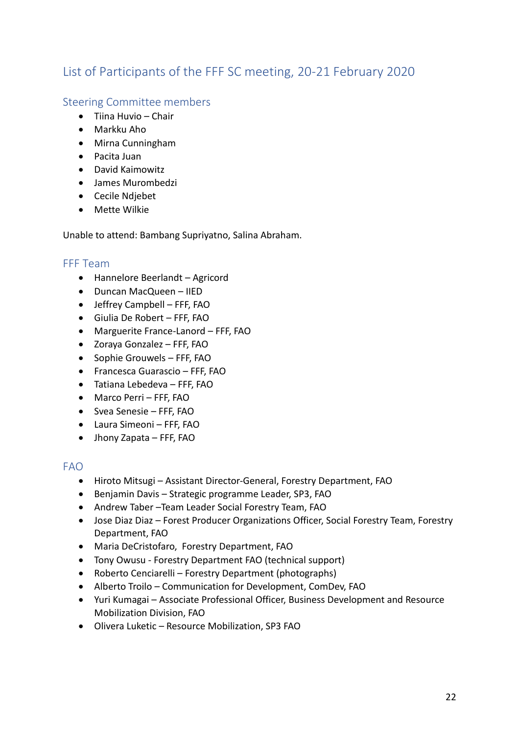# List of Participants of the FFF SC meeting, 20-21 February 2020

## Steering Committee members

- Tiina Huvio Chair
- Markku Aho
- Mirna Cunningham
- Pacita Juan
- David Kaimowitz
- James Murombedzi
- Cecile Ndjebet
- Mette Wilkie

Unable to attend: Bambang Supriyatno, Salina Abraham.

## FFF Team

- Hannelore Beerlandt Agricord
- Duncan MacQueen IIED
- Jeffrey Campbell FFF, FAO
- Giulia De Robert FFF, FAO
- Marguerite France-Lanord FFF, FAO
- Zoraya Gonzalez FFF, FAO
- Sophie Grouwels FFF, FAO
- Francesca Guarascio FFF, FAO
- Tatiana Lebedeva FFF, FAO
- Marco Perri FFF, FAO
- Svea Senesie FFF, FAO
- Laura Simeoni FFF, FAO
- Jhony Zapata FFF, FAO

## FAO

- Hiroto Mitsugi Assistant Director-General, Forestry Department, FAO
- Benjamin Davis Strategic programme Leader, SP3, FAO
- Andrew Taber –Team Leader Social Forestry Team, FAO
- Jose Diaz Diaz Forest Producer Organizations Officer, Social Forestry Team, Forestry Department, FAO
- Maria DeCristofaro, Forestry Department, FAO
- Tony Owusu Forestry Department FAO (technical support)
- Roberto Cenciarelli Forestry Department (photographs)
- Alberto Troilo Communication for Development, ComDev, FAO
- Yuri Kumagai Associate Professional Officer, Business Development and Resource Mobilization Division, FAO
- Olivera Luketic Resource Mobilization, SP3 FAO